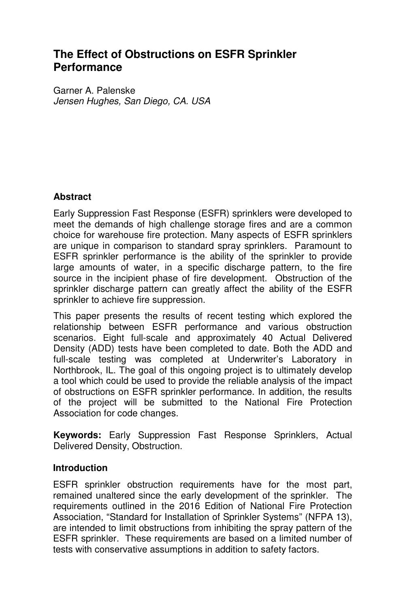# **The Effect of Obstructions on ESFR Sprinkler Performance**

Garner A. Palenske Jensen Hughes, San Diego, CA. USA

#### **Abstract**

Early Suppression Fast Response (ESFR) sprinklers were developed to meet the demands of high challenge storage fires and are a common choice for warehouse fire protection. Many aspects of ESFR sprinklers are unique in comparison to standard spray sprinklers. Paramount to ESFR sprinkler performance is the ability of the sprinkler to provide large amounts of water, in a specific discharge pattern, to the fire source in the incipient phase of fire development. Obstruction of the sprinkler discharge pattern can greatly affect the ability of the ESFR sprinkler to achieve fire suppression.

This paper presents the results of recent testing which explored the relationship between ESFR performance and various obstruction scenarios. Eight full-scale and approximately 40 Actual Delivered Density (ADD) tests have been completed to date. Both the ADD and full-scale testing was completed at Underwriter's Laboratory in Northbrook, IL. The goal of this ongoing project is to ultimately develop a tool which could be used to provide the reliable analysis of the impact of obstructions on ESFR sprinkler performance. In addition, the results of the project will be submitted to the National Fire Protection Association for code changes.

**Keywords:** Early Suppression Fast Response Sprinklers, Actual Delivered Density, Obstruction.

#### **Introduction**

ESFR sprinkler obstruction requirements have for the most part, remained unaltered since the early development of the sprinkler. The requirements outlined in the 2016 Edition of National Fire Protection Association, "Standard for Installation of Sprinkler Systems" (NFPA 13), are intended to limit obstructions from inhibiting the spray pattern of the ESFR sprinkler. These requirements are based on a limited number of tests with conservative assumptions in addition to safety factors.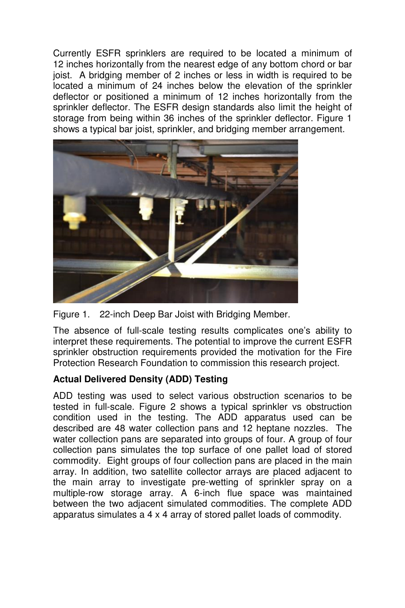Currently ESFR sprinklers are required to be located a minimum of 12 inches horizontally from the nearest edge of any bottom chord or bar joist. A bridging member of 2 inches or less in width is required to be located a minimum of 24 inches below the elevation of the sprinkler deflector or positioned a minimum of 12 inches horizontally from the sprinkler deflector. The ESFR design standards also limit the height of storage from being within 36 inches of the sprinkler deflector. Figure 1 shows a typical bar joist, sprinkler, and bridging member arrangement.



Figure 1. 22-inch Deep Bar Joist with Bridging Member.

The absence of full-scale testing results complicates one's ability to interpret these requirements. The potential to improve the current ESFR sprinkler obstruction requirements provided the motivation for the Fire Protection Research Foundation to commission this research project.

# **Actual Delivered Density (ADD) Testing**

ADD testing was used to select various obstruction scenarios to be tested in full-scale. Figure 2 shows a typical sprinkler vs obstruction condition used in the testing. The ADD apparatus used can be described are 48 water collection pans and 12 heptane nozzles. The water collection pans are separated into groups of four. A group of four collection pans simulates the top surface of one pallet load of stored commodity. Eight groups of four collection pans are placed in the main array. In addition, two satellite collector arrays are placed adjacent to the main array to investigate pre-wetting of sprinkler spray on a multiple-row storage array. A 6-inch flue space was maintained between the two adjacent simulated commodities. The complete ADD apparatus simulates a 4 x 4 array of stored pallet loads of commodity.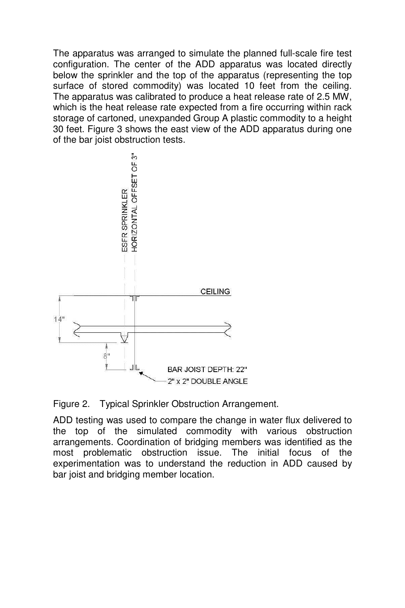The apparatus was arranged to simulate the planned full-scale fire test configuration. The center of the ADD apparatus was located directly below the sprinkler and the top of the apparatus (representing the top surface of stored commodity) was located 10 feet from the ceiling. The apparatus was calibrated to produce a heat release rate of 2.5 MW, which is the heat release rate expected from a fire occurring within rack storage of cartoned, unexpanded Group A plastic commodity to a height 30 feet. Figure 3 shows the east view of the ADD apparatus during one of the bar joist obstruction tests.



Figure 2. Typical Sprinkler Obstruction Arrangement.

ADD testing was used to compare the change in water flux delivered to the top of the simulated commodity with various obstruction arrangements. Coordination of bridging members was identified as the most problematic obstruction issue. The initial focus of the experimentation was to understand the reduction in ADD caused by bar joist and bridging member location.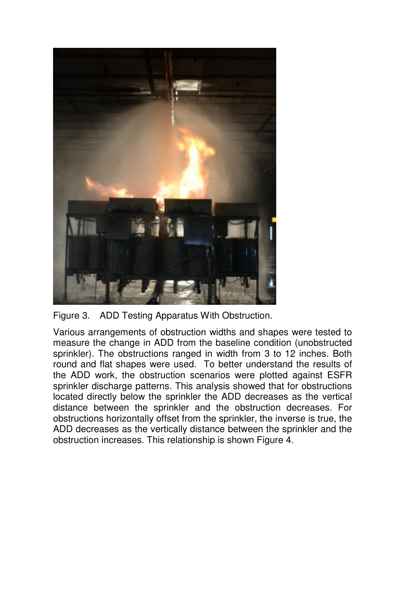

Figure 3. ADD Testing Apparatus With Obstruction.

Various arrangements of obstruction widths and shapes were tested to measure the change in ADD from the baseline condition (unobstructed sprinkler). The obstructions ranged in width from 3 to 12 inches. Both round and flat shapes were used. To better understand the results of the ADD work, the obstruction scenarios were plotted against ESFR sprinkler discharge patterns. This analysis showed that for obstructions located directly below the sprinkler the ADD decreases as the vertical distance between the sprinkler and the obstruction decreases. For obstructions horizontally offset from the sprinkler, the inverse is true, the ADD decreases as the vertically distance between the sprinkler and the obstruction increases. This relationship is shown Figure 4.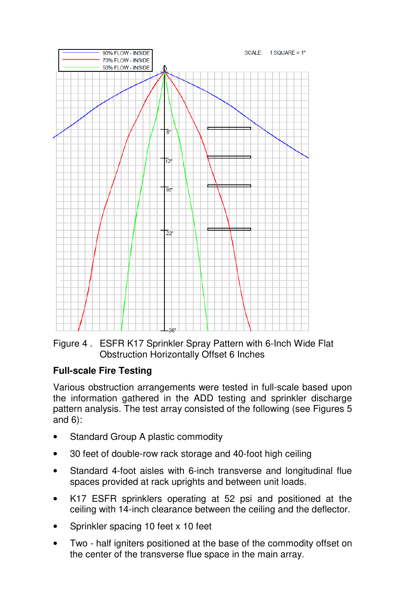

Figure 4 . ESFR K17 Sprinkler Spray Pattern with 6-Inch Wide Flat Obstruction Horizontally Offset 6 Inches

# **Full-scale Fire Testing**

Various obstruction arrangements were tested in full-scale based upon the information gathered in the ADD testing and sprinkler discharge pattern analysis. The test array consisted of the following (see Figures 5 and 6):

- Standard Group A plastic commodity
- 30 feet of double-row rack storage and 40-foot high ceiling
- Standard 4-foot aisles with 6-inch transverse and longitudinal flue spaces provided at rack uprights and between unit loads.
- K17 ESFR sprinklers operating at 52 psi and positioned at the ceiling with 14-inch clearance between the ceiling and the deflector.
- Sprinkler spacing 10 feet x 10 feet
- Two half igniters positioned at the base of the commodity offset on the center of the transverse flue space in the main array.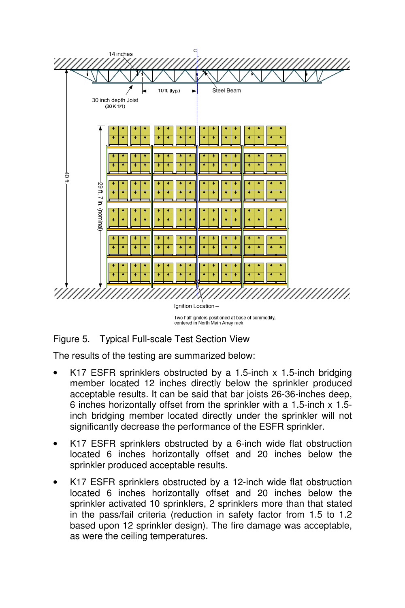

Figure 5. Typical Full-scale Test Section View

The results of the testing are summarized below:

- K17 ESFR sprinklers obstructed by a 1.5-inch x 1.5-inch bridging member located 12 inches directly below the sprinkler produced acceptable results. It can be said that bar joists 26-36-inches deep, 6 inches horizontally offset from the sprinkler with a 1.5-inch x 1.5 inch bridging member located directly under the sprinkler will not significantly decrease the performance of the ESFR sprinkler.
- K17 ESFR sprinklers obstructed by a 6-inch wide flat obstruction located 6 inches horizontally offset and 20 inches below the sprinkler produced acceptable results.
- K17 ESFR sprinklers obstructed by a 12-inch wide flat obstruction located 6 inches horizontally offset and 20 inches below the sprinkler activated 10 sprinklers, 2 sprinklers more than that stated in the pass/fail criteria (reduction in safety factor from 1.5 to 1.2 based upon 12 sprinkler design). The fire damage was acceptable, as were the ceiling temperatures.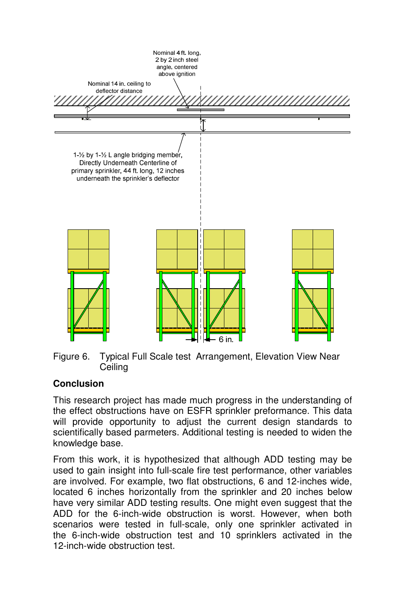

Figure 6. Typical Full Scale test Arrangement, Elevation View Near **Ceiling** 

# **Conclusion**

This research project has made much progress in the understanding of the effect obstructions have on ESFR sprinkler preformance. This data will provide opportunity to adjust the current design standards to scientifically based parmeters. Additional testing is needed to widen the knowledge base.

From this work, it is hypothesized that although ADD testing may be used to gain insight into full-scale fire test performance, other variables are involved. For example, two flat obstructions, 6 and 12-inches wide, located 6 inches horizontally from the sprinkler and 20 inches below have very similar ADD testing results. One might even suggest that the ADD for the 6-inch-wide obstruction is worst. However, when both scenarios were tested in full-scale, only one sprinkler activated in the 6-inch-wide obstruction test and 10 sprinklers activated in the 12-inch-wide obstruction test.